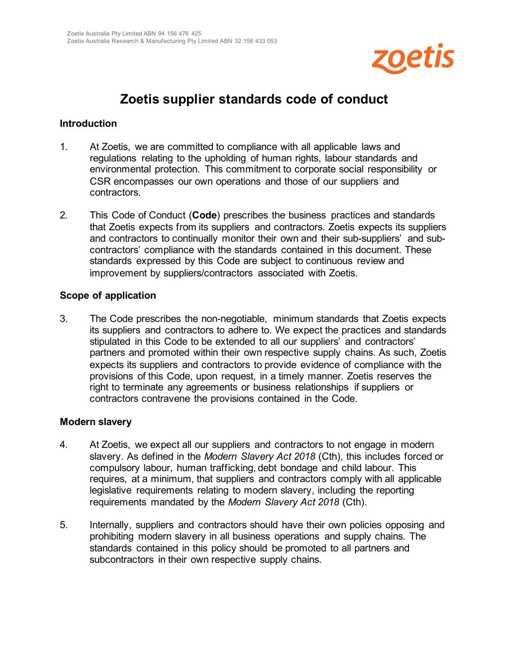

# **Zoetis supplier standards code of conduct**

#### **Introduction**

- 1. At Zoetis, we are committed to compliance with all applicable laws and regulations relating to the upholding of human rights, labour standards and environmental protection. This commitment to corporate social responsibility or CSR encompasses our own operations and those of our suppliers and contractors.
- 2. This Code of Conduct (**Code**) prescribes the business practices and standards that Zoetis expects from its suppliers and contractors. Zoetis expects its suppliers and contractors to continually monitor their own and their sub-suppliers' and subcontractors' compliance with the standards contained in this document. These standards expressed by this Code are subject to continuous review and improvement by suppliers/contractors associated with Zoetis.

#### **Scope of application**

3. The Code prescribes the non-negotiable, minimum standards that Zoetis expects its suppliers and contractors to adhere to. We expect the practices and standards stipulated in this Code to be extended to all our suppliers' and contractors' partners and promoted within their own respective supply chains. As such, Zoetis expects its suppliers and contractors to provide evidence of compliance with the provisions of this Code, upon request, in a timely manner. Zoetis reserves the right to terminate any agreements or business relationships if suppliers or contractors contravene the provisions contained in the Code.

#### **Modern slavery**

- 4. At Zoetis, we expect all our suppliers and contractors to not engage in modern slavery. As defined in the *Modern Slavery Act 2018* (Cth), this includes forced or compulsory labour, human trafficking, debt bondage and child labour. This requires, at a minimum, that suppliers and contractors comply with all applicable legislative requirements relating to modern slavery, including the reporting requirements mandated by the *Modern Slavery Act 2018* (Cth).
- 5. Internally, suppliers and contractors should have their own policies opposing and prohibiting modern slavery in all business operations and supply chains. The standards contained in this policy should be promoted to all partners and subcontractors in their own respective supply chains.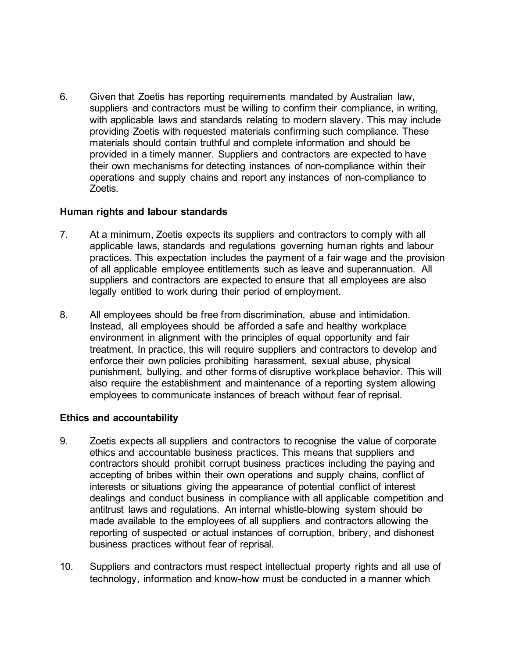6. Given that Zoetis has reporting requirements mandated by Australian law, suppliers and contractors must be willing to confirm their compliance, in writing, with applicable laws and standards relating to modern slavery. This may include providing Zoetis with requested materials confirming such compliance. These materials should contain truthful and complete information and should be provided in a timely manner. Suppliers and contractors are expected to have their own mechanisms for detecting instances of non-compliance within their operations and supply chains and report any instances of non-compliance to Zoetis.

## **Human rights and labour standards**

- 7. At a minimum, Zoetis expects its suppliers and contractors to comply with all applicable laws, standards and regulations governing human rights and labour practices. This expectation includes the payment of a fair wage and the provision of all applicable employee entitlements such as leave and superannuation. All suppliers and contractors are expected to ensure that all employees are also legally entitled to work during their period of employment.
- 8. All employees should be free from discrimination, abuse and intimidation. Instead, all employees should be afforded a safe and healthy workplace environment in alignment with the principles of equal opportunity and fair treatment. In practice, this will require suppliers and contractors to develop and enforce their own policies prohibiting harassment, sexual abuse, physical punishment, bullying, and other forms of disruptive workplace behavior. This will also require the establishment and maintenance of a reporting system allowing employees to communicate instances of breach without fear of reprisal.

## **Ethics and accountability**

- 9. Zoetis expects all suppliers and contractors to recognise the value of corporate ethics and accountable business practices. This means that suppliers and contractors should prohibit corrupt business practices including the paying and accepting of bribes within their own operations and supply chains, conflict of interests or situations giving the appearance of potential conflict of interest dealings and conduct business in compliance with all applicable competition and antitrust laws and regulations. An internal whistle-blowing system should be made available to the employees of all suppliers and contractors allowing the reporting of suspected or actual instances of corruption, bribery, and dishonest business practices without fear of reprisal.
- 10. Suppliers and contractors must respect intellectual property rights and all use of technology, information and know-how must be conducted in a manner which